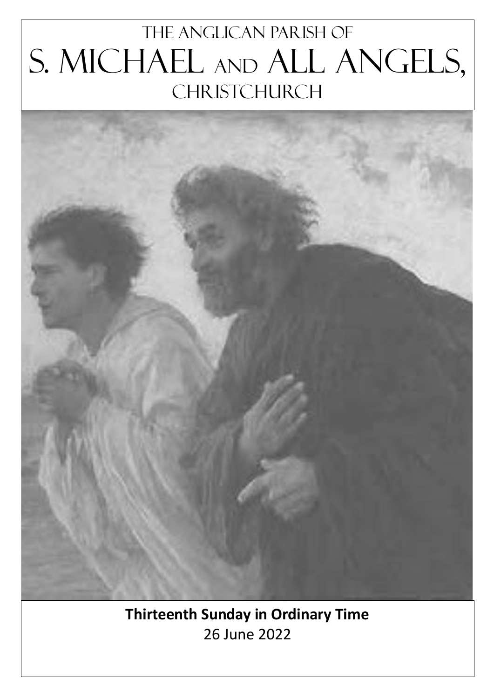# The Anglican parish of S. Michael and All Angels, **CHRISTCHURCH**



**Thirteenth Sunday in Ordinary Time** 26 June 2022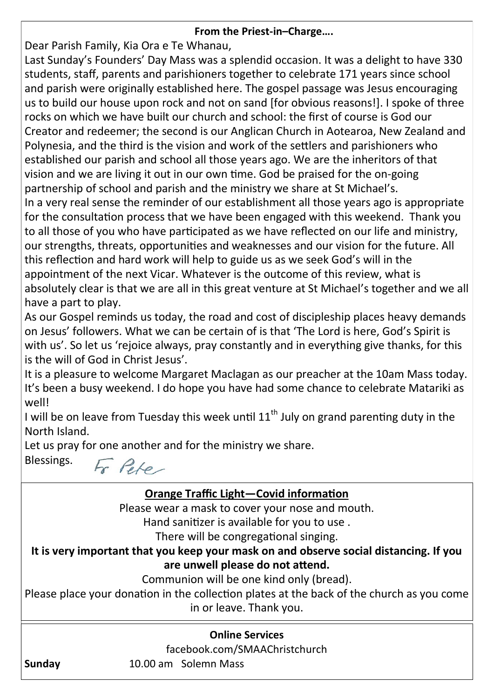#### **From the Priest-in–Charge….**

Dear Parish Family, Kia Ora e Te Whanau,

Last Sunday's Founders' Day Mass was a splendid occasion. It was a delight to have 330 students, staff, parents and parishioners together to celebrate 171 years since school and parish were originally established here. The gospel passage was Jesus encouraging us to build our house upon rock and not on sand [for obvious reasons!]. I spoke of three rocks on which we have built our church and school: the first of course is God our Creator and redeemer; the second is our Anglican Church in Aotearoa, New Zealand and Polynesia, and the third is the vision and work of the settlers and parishioners who established our parish and school all those years ago. We are the inheritors of that vision and we are living it out in our own time. God be praised for the on-going partnership of school and parish and the ministry we share at St Michael's.

In a very real sense the reminder of our establishment all those years ago is appropriate for the consultation process that we have been engaged with this weekend. Thank you to all those of you who have participated as we have reflected on our life and ministry, our strengths, threats, opportunities and weaknesses and our vision for the future. All this reflection and hard work will help to guide us as we seek God's will in the appointment of the next Vicar. Whatever is the outcome of this review, what is absolutely clear is that we are all in this great venture at St Michael's together and we all have a part to play.

As our Gospel reminds us today, the road and cost of discipleship places heavy demands on Jesus' followers. What we can be certain of is that 'The Lord is here, God's Spirit is with us'. So let us 'rejoice always, pray constantly and in everything give thanks, for this is the will of God in Christ Jesus'.

It is a pleasure to welcome Margaret Maclagan as our preacher at the 10am Mass today. It's been a busy weekend. I do hope you have had some chance to celebrate Matariki as well!

I will be on leave from Tuesday this week until  $11<sup>th</sup>$  July on grand parenting duty in the North Island.

Let us pray for one another and for the ministry we share.

Blessings.

Fr Pete

## **Online Services Orange Traffic Light—Covid information** Please wear a mask to cover your nose and mouth. Hand sanitizer is available for you to use . There will be congregational singing. **It is very important that you keep your mask on and observe social distancing. If you are unwell please do not attend.** Communion will be one kind only (bread). Please place your donation in the collection plates at the back of the church as you come in or leave. Thank you.

facebook.com/SMAAChristchurch

**Sunday** 10.00 am Solemn Mass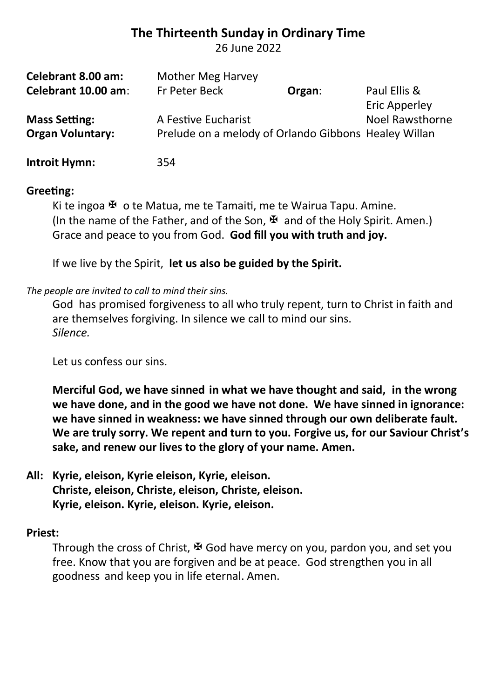### **The Thirteenth Sunday in Ordinary Time**

26 June 2022

| Celebrant 8.00 am:      | Mother Meg Harvey                                    |        |                        |
|-------------------------|------------------------------------------------------|--------|------------------------|
| Celebrant 10.00 am:     | Fr Peter Beck                                        | Organ: | Paul Ellis &           |
|                         |                                                      |        | Eric Apperley          |
| <b>Mass Setting:</b>    | A Festive Eucharist                                  |        | <b>Noel Rawsthorne</b> |
| <b>Organ Voluntary:</b> | Prelude on a melody of Orlando Gibbons Healey Willan |        |                        |
| <b>Introit Hymn:</b>    | 354                                                  |        |                        |

#### **Greeting:**

Ki te ingoa  $\mathfrak{B}$  o te Matua, me te Tamaiti, me te Wairua Tapu. Amine. (In the name of the Father, and of the Son,  $\mathbb F$  and of the Holy Spirit. Amen.) Grace and peace to you from God. **God fill you with truth and joy.**

If we live by the Spirit, **let us also be guided by the Spirit.**

#### *The people are invited to call to mind their sins.*

God has promised forgiveness to all who truly repent, turn to Christ in faith and are themselves forgiving. In silence we call to mind our sins. *Silence.*

Let us confess our sins.

**Merciful God, we have sinned in what we have thought and said, in the wrong we have done, and in the good we have not done. We have sinned in ignorance: we have sinned in weakness: we have sinned through our own deliberate fault. We are truly sorry. We repent and turn to you. Forgive us, for our Saviour Christ's sake, and renew our lives to the glory of your name. Amen.**

#### **All: Kyrie, eleison, Kyrie eleison, Kyrie, eleison. Christe, eleison, Christe, eleison, Christe, eleison. Kyrie, eleison. Kyrie, eleison. Kyrie, eleison.**

#### **Priest:**

Through the cross of Christ,  $\Psi$  God have mercy on you, pardon you, and set you free. Know that you are forgiven and be at peace. God strengthen you in all goodness and keep you in life eternal. Amen.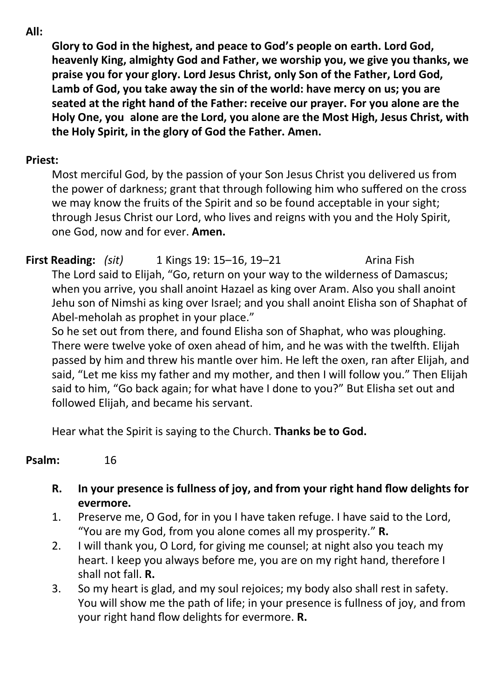**All:** 

**Glory to God in the highest, and peace to God's people on earth. Lord God, heavenly King, almighty God and Father, we worship you, we give you thanks, we praise you for your glory. Lord Jesus Christ, only Son of the Father, Lord God, Lamb of God, you take away the sin of the world: have mercy on us; you are seated at the right hand of the Father: receive our prayer. For you alone are the Holy One, you alone are the Lord, you alone are the Most High, Jesus Christ, with the Holy Spirit, in the glory of God the Father. Amen.**

#### **Priest:**

Most merciful God, by the passion of your Son Jesus Christ you delivered us from the power of darkness; grant that through following him who suffered on the cross we may know the fruits of the Spirit and so be found acceptable in your sight; through Jesus Christ our Lord, who lives and reigns with you and the Holy Spirit, one God, now and for ever. **Amen.**

# **First Reading:** *(sit)* 1 Kings 19: 15–16, 19–21 Arina Fish

The Lord said to Elijah, "Go, return on your way to the wilderness of Damascus; when you arrive, you shall anoint Hazael as king over Aram. Also you shall anoint Jehu son of Nimshi as king over Israel; and you shall anoint Elisha son of Shaphat of Abel-meholah as prophet in your place."

So he set out from there, and found Elisha son of Shaphat, who was ploughing. There were twelve yoke of oxen ahead of him, and he was with the twelfth. Elijah passed by him and threw his mantle over him. He left the oxen, ran after Elijah, and said, "Let me kiss my father and my mother, and then I will follow you." Then Elijah said to him, "Go back again; for what have I done to you?" But Elisha set out and followed Elijah, and became his servant.

Hear what the Spirit is saying to the Church. **Thanks be to God.**

#### **Psalm:** 16

- **R. In your presence is fullness of joy, and from your right hand flow delights for evermore.**
- 1. Preserve me, O God, for in you I have taken refuge. I have said to the Lord, "You are my God, from you alone comes all my prosperity." **R.**
- 2. I will thank you, O Lord, for giving me counsel; at night also you teach my heart. I keep you always before me, you are on my right hand, therefore I shall not fall. **R.**
- 3. So my heart is glad, and my soul rejoices; my body also shall rest in safety. You will show me the path of life; in your presence is fullness of joy, and from your right hand flow delights for evermore. **R.**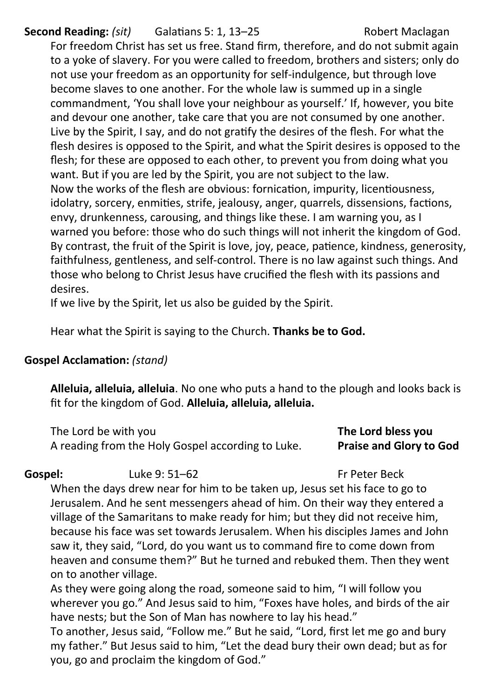### **Second Reading:** *(sit)* Galatians 5: 1, 13–25 Robert Maclagan

For freedom Christ has set us free. Stand firm, therefore, and do not submit again to a yoke of slavery. For you were called to freedom, brothers and sisters; only do not use your freedom as an opportunity for self-indulgence, but through love become slaves to one another. For the whole law is summed up in a single commandment, 'You shall love your neighbour as yourself.' If, however, you bite and devour one another, take care that you are not consumed by one another. Live by the Spirit, I say, and do not gratify the desires of the flesh. For what the flesh desires is opposed to the Spirit, and what the Spirit desires is opposed to the flesh; for these are opposed to each other, to prevent you from doing what you want. But if you are led by the Spirit, you are not subject to the law. Now the works of the flesh are obvious: fornication, impurity, licentiousness, idolatry, sorcery, enmities, strife, jealousy, anger, quarrels, dissensions, factions, envy, drunkenness, carousing, and things like these. I am warning you, as I warned you before: those who do such things will not inherit the kingdom of God. By contrast, the fruit of the Spirit is love, joy, peace, patience, kindness, generosity, faithfulness, gentleness, and self-control. There is no law against such things. And those who belong to Christ Jesus have crucified the flesh with its passions and desires.

If we live by the Spirit, let us also be guided by the Spirit.

Hear what the Spirit is saying to the Church. **Thanks be to God.**

#### **Gospel Acclamation:** *(stand)*

**Alleluia, alleluia, alleluia**. No one who puts a hand to the plough and looks back is fit for the kingdom of God. **Alleluia, alleluia, alleluia.** 

The Lord be with you **The Lord bless you**  A reading from the Holy Gospel according to Luke. **Praise and Glory to God** 

**Gospel:** Luke 9: 51–62 Fr Peter Beck

When the days drew near for him to be taken up, Jesus set his face to go to Jerusalem. And he sent messengers ahead of him. On their way they entered a village of the Samaritans to make ready for him; but they did not receive him, because his face was set towards Jerusalem. When his disciples James and John saw it, they said, "Lord, do you want us to command fire to come down from heaven and consume them?" But he turned and rebuked them. Then they went on to another village.

As they were going along the road, someone said to him, "I will follow you wherever you go." And Jesus said to him, "Foxes have holes, and birds of the air have nests; but the Son of Man has nowhere to lay his head."

To another, Jesus said, "Follow me." But he said, "Lord, first let me go and bury my father." But Jesus said to him, "Let the dead bury their own dead; but as for you, go and proclaim the kingdom of God."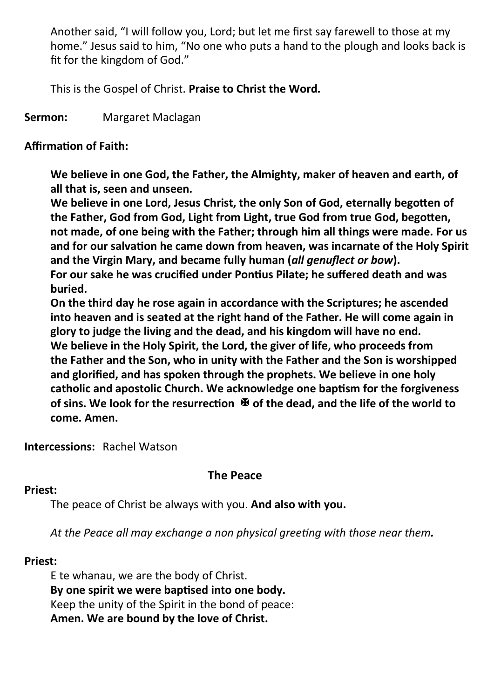Another said, "I will follow you, Lord; but let me first say farewell to those at my home." Jesus said to him, "No one who puts a hand to the plough and looks back is fit for the kingdom of God."

This is the Gospel of Christ. **Praise to Christ the Word.**

**Sermon:** Margaret Maclagan

#### **Affirmation of Faith:**

**We believe in one God, the Father, the Almighty, maker of heaven and earth, of all that is, seen and unseen.**

**We believe in one Lord, Jesus Christ, the only Son of God, eternally begotten of the Father, God from God, Light from Light, true God from true God, begotten, not made, of one being with the Father; through him all things were made. For us and for our salvation he came down from heaven, was incarnate of the Holy Spirit and the Virgin Mary, and became fully human (***all genuflect or bow***). For our sake he was crucified under Pontius Pilate; he suffered death and was buried.** 

**On the third day he rose again in accordance with the Scriptures; he ascended into heaven and is seated at the right hand of the Father. He will come again in glory to judge the living and the dead, and his kingdom will have no end. We believe in the Holy Spirit, the Lord, the giver of life, who proceeds from the Father and the Son, who in unity with the Father and the Son is worshipped and glorified, and has spoken through the prophets. We believe in one holy catholic and apostolic Church. We acknowledge one baptism for the forgiveness of sins. We look for the resurrection of the dead, and the life of the world to come. Amen.**

**Intercessions:** Rachel Watson

#### **The Peace**

#### **Priest:**

The peace of Christ be always with you. **And also with you.**

*At the Peace all may exchange a non physical greeting with those near them.*

#### **Priest:**

E te whanau, we are the body of Christ. **By one spirit we were baptised into one body.** Keep the unity of the Spirit in the bond of peace: **Amen. We are bound by the love of Christ.**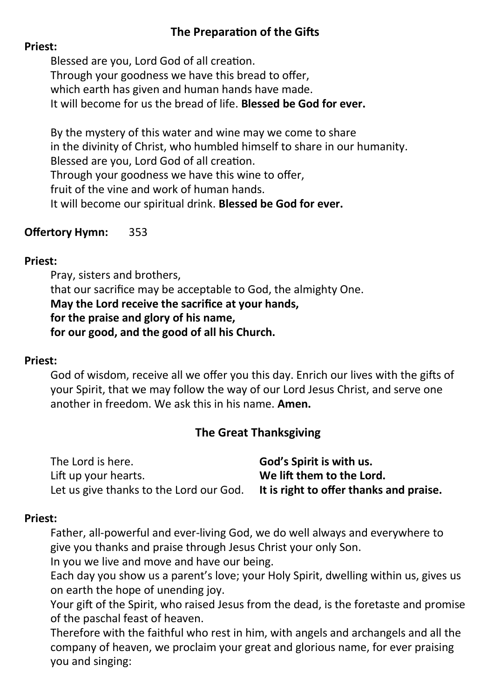#### **The Preparation of the Gifts**

#### **Priest:**

Blessed are you, Lord God of all creation. Through your goodness we have this bread to offer, which earth has given and human hands have made. It will become for us the bread of life. **Blessed be God for ever.**

By the mystery of this water and wine may we come to share in the divinity of Christ, who humbled himself to share in our humanity. Blessed are you, Lord God of all creation. Through your goodness we have this wine to offer, fruit of the vine and work of human hands. It will become our spiritual drink. **Blessed be God for ever.**

#### **Offertory Hymn:** 353

#### **Priest:**

Pray, sisters and brothers, that our sacrifice may be acceptable to God, the almighty One. **May the Lord receive the sacrifice at your hands, for the praise and glory of his name, for our good, and the good of all his Church.**

#### **Priest:**

God of wisdom, receive all we offer you this day. Enrich our lives with the gifts of your Spirit, that we may follow the way of our Lord Jesus Christ, and serve one another in freedom. We ask this in his name. **Amen.**

#### **The Great Thanksgiving**

| The Lord is here.                       | God's Spirit is with us.                |
|-----------------------------------------|-----------------------------------------|
| Lift up your hearts.                    | We lift them to the Lord.               |
| Let us give thanks to the Lord our God. | It is right to offer thanks and praise. |

#### **Priest:**

Father, all-powerful and ever-living God, we do well always and everywhere to give you thanks and praise through Jesus Christ your only Son.

In you we live and move and have our being.

Each day you show us a parent's love; your Holy Spirit, dwelling within us, gives us on earth the hope of unending joy.

Your gift of the Spirit, who raised Jesus from the dead, is the foretaste and promise of the paschal feast of heaven.

Therefore with the faithful who rest in him, with angels and archangels and all the company of heaven, we proclaim your great and glorious name, for ever praising you and singing: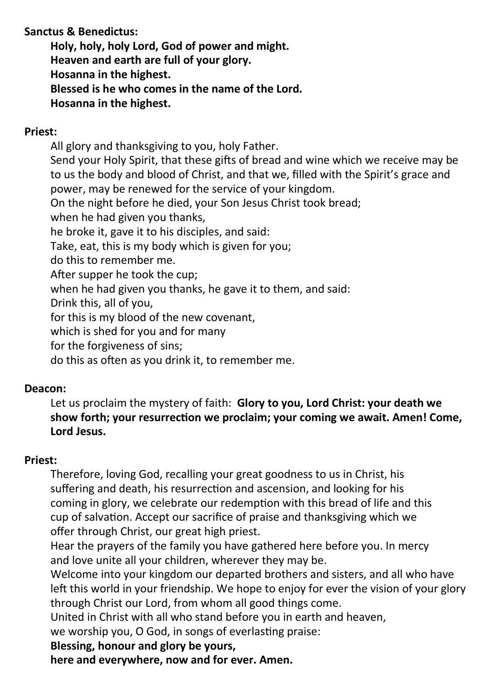#### **Sanctus & Benedictus:**

**Holy, holy, holy Lord, God of power and might. Heaven and earth are full of your glory. Hosanna in the highest. Blessed is he who comes in the name of the Lord. Hosanna in the highest.**

#### **Priest:**

All glory and thanksgiving to you, holy Father. Send your Holy Spirit, that these gifts of bread and wine which we receive may be to us the body and blood of Christ, and that we, filled with the Spirit's grace and power, may be renewed for the service of your kingdom. On the night before he died, your Son Jesus Christ took bread; when he had given you thanks, he broke it, gave it to his disciples, and said: Take, eat, this is my body which is given for you; do this to remember me. After supper he took the cup; when he had given you thanks, he gave it to them, and said: Drink this, all of you, for this is my blood of the new covenant, which is shed for you and for many for the forgiveness of sins;

do this as often as you drink it, to remember me.

#### **Deacon:**

Let us proclaim the mystery of faith: **Glory to you, Lord Christ: your death we show forth; your resurrection we proclaim; your coming we await. Amen! Come, Lord Jesus.**

#### **Priest:**

Therefore, loving God, recalling your great goodness to us in Christ, his suffering and death, his resurrection and ascension, and looking for his coming in glory, we celebrate our redemption with this bread of life and this cup of salvation. Accept our sacrifice of praise and thanksgiving which we offer through Christ, our great high priest.

Hear the prayers of the family you have gathered here before you. In mercy and love unite all your children, wherever they may be.

Welcome into your kingdom our departed brothers and sisters, and all who have left this world in your friendship. We hope to enjoy for ever the vision of your glory through Christ our Lord, from whom all good things come.

United in Christ with all who stand before you in earth and heaven,

we worship you, O God, in songs of everlasting praise:

#### **Blessing, honour and glory be yours,**

**here and everywhere, now and for ever. Amen.**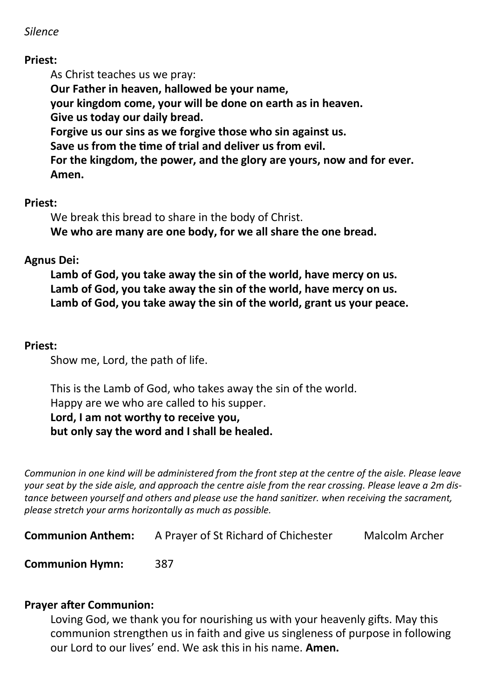#### *Silence*

#### **Priest:**

As Christ teaches us we pray: **Our Father in heaven, hallowed be your name, your kingdom come, your will be done on earth as in heaven. Give us today our daily bread. Forgive us our sins as we forgive those who sin against us. Save us from the time of trial and deliver us from evil. For the kingdom, the power, and the glory are yours, now and for ever. Amen.**

#### **Priest:**

We break this bread to share in the body of Christ. **We who are many are one body, for we all share the one bread.**

#### **Agnus Dei:**

**Lamb of God, you take away the sin of the world, have mercy on us. Lamb of God, you take away the sin of the world, have mercy on us. Lamb of God, you take away the sin of the world, grant us your peace.**

#### **Priest:**

Show me, Lord, the path of life.

This is the Lamb of God, who takes away the sin of the world. Happy are we who are called to his supper. **Lord, I am not worthy to receive you, but only say the word and I shall be healed.**

*Communion in one kind will be administered from the front step at the centre of the aisle. Please leave your seat by the side aisle, and approach the centre aisle from the rear crossing. Please leave a 2m distance between yourself and others and please use the hand sanitizer. when receiving the sacrament, please stretch your arms horizontally as much as possible.*

**Communion Anthem:** A Prayer of St Richard of Chichester Malcolm Archer

**Communion Hymn:** 387

#### **Prayer after Communion:**

Loving God, we thank you for nourishing us with your heavenly gifts. May this communion strengthen us in faith and give us singleness of purpose in following our Lord to our lives' end. We ask this in his name. **Amen.**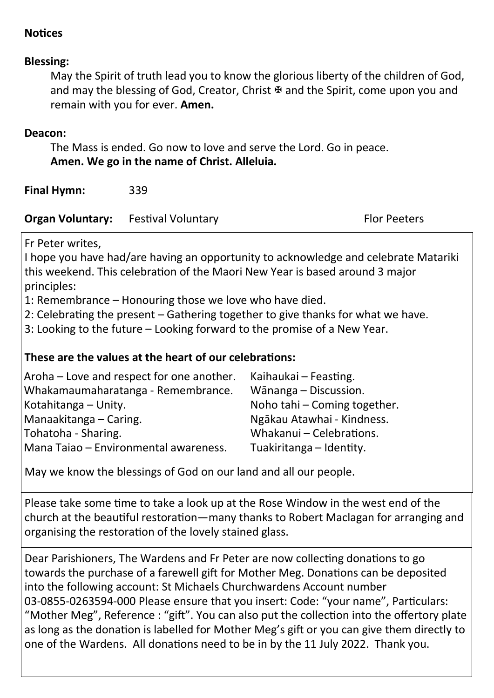#### **Notices**

#### **Blessing:**

May the Spirit of truth lead you to know the glorious liberty of the children of God, and may the blessing of God, Creator, Christ  $\overline{\mathcal{F}}$  and the Spirit, come upon you and remain with you for ever. **Amen.**

#### **Deacon:**

The Mass is ended. Go now to love and serve the Lord. Go in peace. **Amen. We go in the name of Christ. Alleluia.**

**Final Hymn:** 339

| <b>Organ Voluntary:</b> | Festival Voluntary | <b>Flor Peeters</b> |
|-------------------------|--------------------|---------------------|
|-------------------------|--------------------|---------------------|

Fr Peter writes,

I hope you have had/are having an opportunity to acknowledge and celebrate Matariki this weekend. This celebration of the Maori New Year is based around 3 major principles:

1: Remembrance – Honouring those we love who have died.

2: Celebrating the present – Gathering together to give thanks for what we have.

3: Looking to the future – Looking forward to the promise of a New Year.

#### **These are the values at the heart of our celebrations:**

| Aroha - Love and respect for one another. | Kaihaukai - Feasting.        |
|-------------------------------------------|------------------------------|
| Whakamaumaharatanga - Remembrance.        | Wānanga – Discussion.        |
| Kotahitanga – Unity.                      | Noho tahi - Coming together. |
| Manaakitanga – Caring.                    | Ngākau Atawhai - Kindness.   |
| Tohatoha - Sharing.                       | Whakanui - Celebrations.     |
| Mana Taiao – Environmental awareness.     | Tuakiritanga - Identity.     |

May we know the blessings of God on our land and all our people.

Please take some time to take a look up at the Rose Window in the west end of the church at the beautiful restoration—many thanks to Robert Maclagan for arranging and organising the restoration of the lovely stained glass.

Dear Parishioners, The Wardens and Fr Peter are now collecting donations to go towards the purchase of a farewell gift for Mother Meg. Donations can be deposited into the following account: St Michaels Churchwardens Account number 03-0855-0263594-000 Please ensure that you insert: Code: "your name", Particulars: "Mother Meg", Reference : "gift". You can also put the collection into the offertory plate as long as the donation is labelled for Mother Meg's gift or you can give them directly to one of the Wardens. All donations need to be in by the 11 July 2022. Thank you.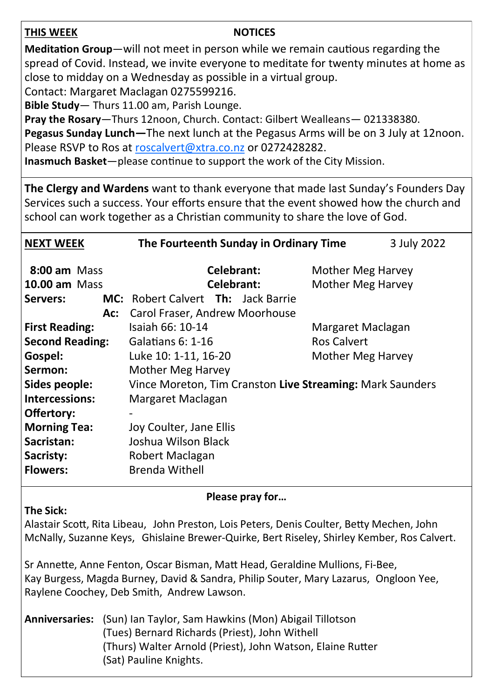#### **THIS WEEK NOTICES**

**Meditation Group**—will not meet in person while we remain cautious regarding the spread of Covid. Instead, we invite everyone to meditate for twenty minutes at home as close to midday on a Wednesday as possible in a virtual group.

Contact: Margaret Maclagan 0275599216.

**Bible Study**— Thurs 11.00 am, Parish Lounge.

**Pray the Rosary**—Thurs 12noon, Church. Contact: Gilbert Wealleans— 021338380. **Pegasus Sunday Lunch—**The next lunch at the Pegasus Arms will be on 3 July at 12noon.

Please RSVP to Ros at [roscalvert@xtra.co.nz](mailto:roscalvert@xtra.co.nz) or 0272428282.

**Inasmuch Basket**—please continue to support the work of the City Mission.

**The Clergy and Wardens** want to thank everyone that made last Sunday's Founders Day Services such a success. Your efforts ensure that the event showed how the church and school can work together as a Christian community to share the love of God.

| <b>NEXT WEEK</b>                                                                                                                                                                | The Fourteenth Sunday in Ordinary Time                                                                                                                                                                                                                                      |                                                       | 3 July 2022 |
|---------------------------------------------------------------------------------------------------------------------------------------------------------------------------------|-----------------------------------------------------------------------------------------------------------------------------------------------------------------------------------------------------------------------------------------------------------------------------|-------------------------------------------------------|-------------|
| $8:00$ am Mass<br><b>10.00 am Mass</b><br>Servers:                                                                                                                              | Celebrant:<br>Celebrant:<br><b>MC:</b> Robert Calvert <b>Th:</b> Jack Barrie                                                                                                                                                                                                | Mother Meg Harvey<br>Mother Meg Harvey                |             |
| Ac:<br><b>First Reading:</b><br><b>Second Reading:</b><br>Gospel:<br>Sermon:<br>Sides people:<br>Intercessions:<br>Offertory:<br><b>Morning Tea:</b><br>Sacristan:<br>Sacristy: | Carol Fraser, Andrew Moorhouse<br>Isaiah 66: 10-14<br>Galatians 6: 1-16<br>Luke 10: 1-11, 16-20<br>Mother Meg Harvey<br>Vince Moreton, Tim Cranston Live Streaming: Mark Saunders<br>Margaret Maclagan<br>Joy Coulter, Jane Ellis<br>Joshua Wilson Black<br>Robert Maclagan | Margaret Maclagan<br>Ros Calvert<br>Mother Meg Harvey |             |
| <b>Flowers:</b>                                                                                                                                                                 | Brenda Withell                                                                                                                                                                                                                                                              |                                                       |             |

#### **Please pray for…**

#### **The Sick:**

Alastair Scott, Rita Libeau, John Preston, Lois Peters, Denis Coulter, Betty Mechen, John McNally, Suzanne Keys, Ghislaine Brewer-Quirke, Bert Riseley, Shirley Kember, Ros Calvert.

Sr Annette, Anne Fenton, Oscar Bisman, Matt Head, Geraldine Mullions, Fi-Bee, Kay Burgess, Magda Burney, David & Sandra, Philip Souter, Mary Lazarus, Ongloon Yee, Raylene Coochey, Deb Smith, Andrew Lawson.

**Anniversaries:** (Sun) Ian Taylor, Sam Hawkins (Mon) Abigail Tillotson (Tues) Bernard Richards (Priest), John Withell (Thurs) Walter Arnold (Priest), John Watson, Elaine Rutter (Sat) Pauline Knights.